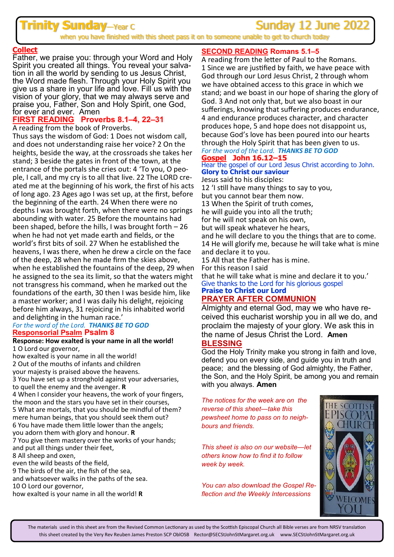# **Trinity Sunday**—Year C New Sunday 12 June 202

when you have finished with this sheet pass it on to someone unable to get to church t

#### **Collect**

Father, we praise you: through your Word and Holy Spirit you created all things. You reveal your salvation in all the world by sending to us Jesus Christ, the Word made flesh. Through your Holy Spirit you give us a share in your life and love. Fill us with the vision of your glory, that we may always serve and praise you, Father, Son and Holy Spirit, one God, for ever and ever. Amen

# **FIRST READING Proverbs 8.1–4, 22–31**

A reading from the book of Proverbs.

Thus says the wisdom of God: 1 Does not wisdom call, and does not understanding raise her voice? 2 On the heights, beside the way, at the crossroads she takes her stand; 3 beside the gates in front of the town, at the entrance of the portals she cries out: 4 'To you, O people, I call, and my cry is to all that live. 22 The LORD created me at the beginning of his work, the first of his acts of long ago. 23 Ages ago I was set up, at the first, before the beginning of the earth. 24 When there were no depths I was brought forth, when there were no springs abounding with water. 25 Before the mountains had been shaped, before the hills, I was brought forth – 26 when he had not yet made earth and fields, or the world's first bits of soil. 27 When he established the heavens, I was there, when he drew a circle on the face of the deep, 28 when he made firm the skies above, when he established the fountains of the deep, 29 when he assigned to the sea its limit, so that the waters might not transgress his command, when he marked out the foundations of the earth, 30 then I was beside him, like a master worker; and I was daily his delight, rejoicing before him always, 31 rejoicing in his inhabited world and delighting in the human race.'

#### *For the word of the Lord. THANKS BE TO GOD* **Responsorial Psalm Psalm 8**

#### **Response: How exalted is your name in all the world!** 1 O Lord our governor,

how exalted is your name in all the world! 2 Out of the mouths of infants and children your majesty is praised above the heavens. 3 You have set up a stronghold against your adversaries, to quell the enemy and the avenger. **R** 4 When I consider your heavens, the work of your fingers, the moon and the stars you have set in their courses, 5 What are mortals, that you should be mindful of them? mere human beings, that you should seek them out? 6 You have made them little lower than the angels; you adorn them with glory and honour. **R** 7 You give them mastery over the works of your hands; and put all things under their feet, 8 All sheep and oxen, even the wild beasts of the field, 9 The birds of the air, the fish of the sea, and whatsoever walks in the paths of the sea. 10 O Lord our governor,

how exalted is your name in all the world! **R**

#### **SECOND READING Romans 5.1–5**

A reading from the letter of Paul to the Romans. 1 Since we are justified by faith, we have peace with God through our Lord Jesus Christ, 2 through whom we have obtained access to this grace in which we stand; and we boast in our hope of sharing the glory of God. 3 And not only that, but we also boast in our sufferings, knowing that suffering produces endurance, 4 and endurance produces character, and character produces hope, 5 and hope does not disappoint us, because God's love has been poured into our hearts through the Holy Spirit that has been given to us. *For the word of the Lord. THANKS BE TO GOD*

# **Gospel John 16.12–15**

Hear the gospel of our Lord Jesus Christ according to John. **Glory to Christ our saviour**

Jesus said to his disciples:

12 'I still have many things to say to you, but you cannot bear them now. 13 When the Spirit of truth comes, he will guide you into all the truth; for he will not speak on his own, but will speak whatever he hears,

and he will declare to you the things that are to come. 14 He will glorify me, because he will take what is mine and declare it to you.

15 All that the Father has is mine.

For this reason I said

that he will take what is mine and declare it to you.' Give thanks to the Lord for his glorious gospel **Praise to Christ our Lord**

## **PRAYER AFTER COMMUNION**

Almighty and eternal God, may we who have received this eucharist worship you in all we do, and proclaim the majesty of your glory. We ask this in the name of Jesus Christ the Lord. **Amen**

#### **BLESSING**

God the Holy Trinity make you strong in faith and love, defend you on every side, and guide you in truth and peace; and the blessing of God almighty, the Father, the Son, and the Holy Spirit, be among you and remain with you always. **Amen**

*The notices for the week are on the reverse of this sheet—take this pewsheet home to pass on to neighbours and friends.*

*This sheet is also on our website—let others know how to find it to follow week by week.*

*You can also download the Gospel Reflection and the Weekly Intercessions*



The materials used in this sheet are from the Revised Common Lectionary as used by the Scottish Episcopal Church all Bible verses are from NRSV translation this sheet created by the Very Rev Reuben James Preston SCP OblOSB Rector@SECStJohnStMargaret.org.uk www.SECStJohnStMargaret.org.uk